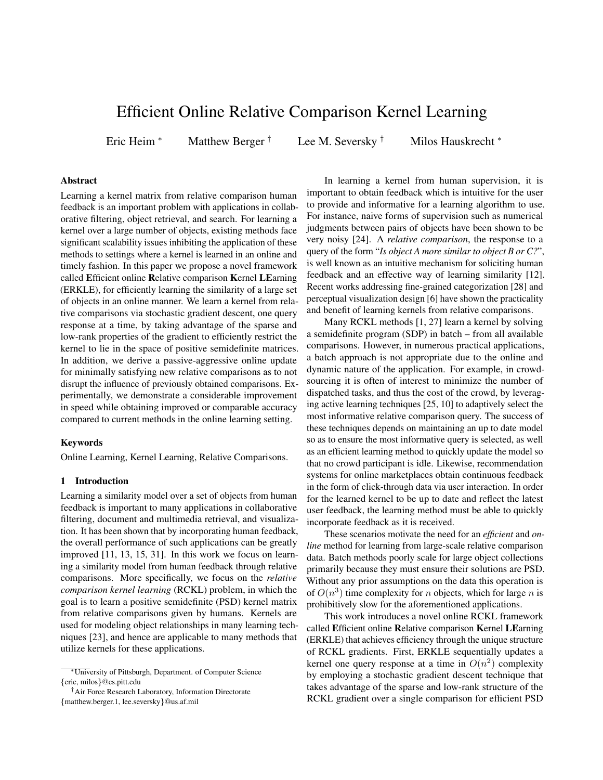# Efficient Online Relative Comparison Kernel Learning

Eric Heim <sup>∗</sup> Matthew Berger † Lee M. Seversky † Milos Hauskrecht <sup>∗</sup>

# Abstract

Learning a kernel matrix from relative comparison human feedback is an important problem with applications in collaborative filtering, object retrieval, and search. For learning a kernel over a large number of objects, existing methods face significant scalability issues inhibiting the application of these methods to settings where a kernel is learned in an online and timely fashion. In this paper we propose a novel framework called Efficient online Relative comparison Kernel LEarning (ERKLE), for efficiently learning the similarity of a large set of objects in an online manner. We learn a kernel from relative comparisons via stochastic gradient descent, one query response at a time, by taking advantage of the sparse and low-rank properties of the gradient to efficiently restrict the kernel to lie in the space of positive semidefinite matrices. In addition, we derive a passive-aggressive online update for minimally satisfying new relative comparisons as to not disrupt the influence of previously obtained comparisons. Experimentally, we demonstrate a considerable improvement in speed while obtaining improved or comparable accuracy compared to current methods in the online learning setting.

# Keywords

Online Learning, Kernel Learning, Relative Comparisons.

#### 1 Introduction

Learning a similarity model over a set of objects from human feedback is important to many applications in collaborative filtering, document and multimedia retrieval, and visualization. It has been shown that by incorporating human feedback, the overall performance of such applications can be greatly improved [11, 13, 15, 31]. In this work we focus on learning a similarity model from human feedback through relative comparisons. More specifically, we focus on the *relative comparison kernel learning* (RCKL) problem, in which the goal is to learn a positive semidefinite (PSD) kernel matrix from relative comparisons given by humans. Kernels are used for modeling object relationships in many learning techniques [23], and hence are applicable to many methods that utilize kernels for these applications.

†Air Force Research Laboratory, Information Directorate {matthew.berger.1, lee.seversky}@us.af.mil

In learning a kernel from human supervision, it is important to obtain feedback which is intuitive for the user to provide and informative for a learning algorithm to use. For instance, naive forms of supervision such as numerical judgments between pairs of objects have been shown to be very noisy [24]. A *relative comparison*, the response to a query of the form "*Is object A more similar to object B or C?*", is well known as an intuitive mechanism for soliciting human feedback and an effective way of learning similarity [12]. Recent works addressing fine-grained categorization [28] and perceptual visualization design [6] have shown the practicality and benefit of learning kernels from relative comparisons.

Many RCKL methods [1, 27] learn a kernel by solving a semidefinite program (SDP) in batch – from all available comparisons. However, in numerous practical applications, a batch approach is not appropriate due to the online and dynamic nature of the application. For example, in crowdsourcing it is often of interest to minimize the number of dispatched tasks, and thus the cost of the crowd, by leveraging active learning techniques [25, 10] to adaptively select the most informative relative comparison query. The success of these techniques depends on maintaining an up to date model so as to ensure the most informative query is selected, as well as an efficient learning method to quickly update the model so that no crowd participant is idle. Likewise, recommendation systems for online marketplaces obtain continuous feedback in the form of click-through data via user interaction. In order for the learned kernel to be up to date and reflect the latest user feedback, the learning method must be able to quickly incorporate feedback as it is received.

These scenarios motivate the need for an *efficient* and *online* method for learning from large-scale relative comparison data. Batch methods poorly scale for large object collections primarily because they must ensure their solutions are PSD. Without any prior assumptions on the data this operation is of  $O(n^3)$  time complexity for *n* objects, which for large *n* is prohibitively slow for the aforementioned applications.

This work introduces a novel online RCKL framework called Efficient online Relative comparison Kernel LEarning (ERKLE) that achieves efficiency through the unique structure of RCKL gradients. First, ERKLE sequentially updates a kernel one query response at a time in  $O(n^2)$  complexity by employing a stochastic gradient descent technique that takes advantage of the sparse and low-rank structure of the RCKL gradient over a single comparison for efficient PSD

<sup>∗</sup>University of Pittsburgh, Department. of Computer Science {eric, milos}@cs.pitt.edu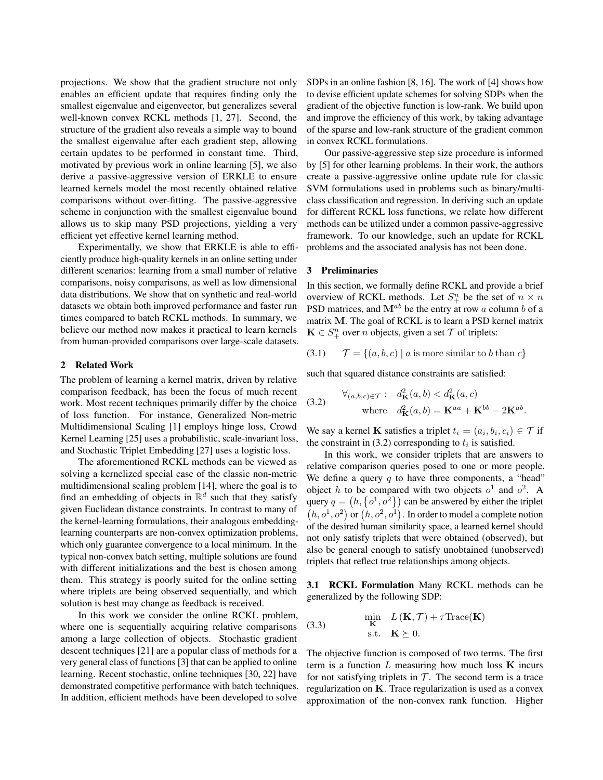projections. We show that the gradient structure not only enables an efficient update that requires finding only the smallest eigenvalue and eigenvector, but generalizes several well-known convex RCKL methods [1, 27]. Second, the structure of the gradient also reveals a simple way to bound the smallest eigenvalue after each gradient step, allowing certain updates to be performed in constant time. Third, motivated by previous work in online learning [5], we also derive a passive-aggressive version of ERKLE to ensure learned kernels model the most recently obtained relative comparisons without over-fitting. The passive-aggressive scheme in conjunction with the smallest eigenvalue bound allows us to skip many PSD projections, yielding a very efficient yet effective kernel learning method.

Experimentally, we show that ERKLE is able to efficiently produce high-quality kernels in an online setting under different scenarios: learning from a small number of relative comparisons, noisy comparisons, as well as low dimensional data distributions. We show that on synthetic and real-world datasets we obtain both improved performance and faster run times compared to batch RCKL methods. In summary, we believe our method now makes it practical to learn kernels from human-provided comparisons over large-scale datasets.

## 2 Related Work

The problem of learning a kernel matrix, driven by relative comparison feedback, has been the focus of much recent work. Most recent techniques primarily differ by the choice of loss function. For instance, Generalized Non-metric Multidimensional Scaling [1] employs hinge loss, Crowd Kernel Learning [25] uses a probabilistic, scale-invariant loss, and Stochastic Triplet Embedding [27] uses a logistic loss.

The aforementioned RCKL methods can be viewed as solving a kernelized special case of the classic non-metric multidimensional scaling problem [14], where the goal is to find an embedding of objects in  $\mathbb{R}^d$  such that they satisfy given Euclidean distance constraints. In contrast to many of the kernel-learning formulations, their analogous embeddinglearning counterparts are non-convex optimization problems, which only guarantee convergence to a local minimum. In the typical non-convex batch setting, multiple solutions are found with different initializations and the best is chosen among them. This strategy is poorly suited for the online setting where triplets are being observed sequentially, and which solution is best may change as feedback is received.

In this work we consider the online RCKL problem, where one is sequentially acquiring relative comparisons among a large collection of objects. Stochastic gradient descent techniques [21] are a popular class of methods for a very general class of functions [3] that can be applied to online learning. Recent stochastic, online techniques [30, 22] have demonstrated competitive performance with batch techniques. In addition, efficient methods have been developed to solve

SDPs in an online fashion [8, 16]. The work of [4] shows how to devise efficient update schemes for solving SDPs when the gradient of the objective function is low-rank. We build upon and improve the efficiency of this work, by taking advantage of the sparse and low-rank structure of the gradient common in convex RCKL formulations.

Our passive-aggressive step size procedure is informed by [5] for other learning problems. In their work, the authors create a passive-aggressive online update rule for classic SVM formulations used in problems such as binary/multiclass classification and regression. In deriving such an update for different RCKL loss functions, we relate how different methods can be utilized under a common passive-aggressive framework. To our knowledge, such an update for RCKL problems and the associated analysis has not been done.

#### 3 Preliminaries

In this section, we formally define RCKL and provide a brief overview of RCKL methods. Let  $S_{+}^{n}$  be the set of  $n \times n$ PSD matrices, and  $M^{ab}$  be the entry at row a column b of a matrix M. The goal of RCKL is to learn a PSD kernel matrix  $\mathbf{K} \in S_{+}^{n}$  over *n* objects, given a set  $\mathcal{T}$  of triplets:

(3.1)  $\mathcal{T} = \{(a, b, c) \mid a \text{ is more similar to } b \text{ than } c\}$ 

such that squared distance constraints are satisfied:

(3.2) 
$$
\forall_{(a,b,c)\in\mathcal{T}}: d_{\mathbf{K}}^2(a,b) < d_{\mathbf{K}}^2(a,c)
$$
  
where 
$$
d_{\mathbf{K}}^2(a,b) = \mathbf{K}^{aa} + \mathbf{K}^{bb} - 2\mathbf{K}^{ab}.
$$

We say a kernel **K** satisfies a triplet  $t_i = (a_i, b_i, c_i) \in \mathcal{T}$  if the constraint in (3.2) corresponding to  $t_i$  is satisfied.

In this work, we consider triplets that are answers to relative comparison queries posed to one or more people. We define a query  $q$  to have three components, a "head" object h to be compared with two objects  $o^1$  and  $o^2$ . A query  $q = (h, \{o^1, o^2\})$  can be answered by either the triplet  $(h, o<sup>1</sup>, o<sup>2</sup>)$  or  $(h, o<sup>2</sup>, o<sup>1</sup>)$ . In order to model a complete notion of the desired human similarity space, a learned kernel should not only satisfy triplets that were obtained (observed), but also be general enough to satisfy unobtained (unobserved) triplets that reflect true relationships among objects.

3.1 RCKL Formulation Many RCKL methods can be generalized by the following SDP:

(3.3) 
$$
\begin{array}{c}\n\min_{\mathbf{K}} L(\mathbf{K}, \mathcal{T}) + \tau \text{Trace}(\mathbf{K}) \\
\text{s.t.} \quad \mathbf{K} \succeq 0.\n\end{array}
$$

The objective function is composed of two terms. The first term is a function  $L$  measuring how much loss  $K$  incurs for not satisfying triplets in  $T$ . The second term is a trace regularization on K. Trace regularization is used as a convex approximation of the non-convex rank function. Higher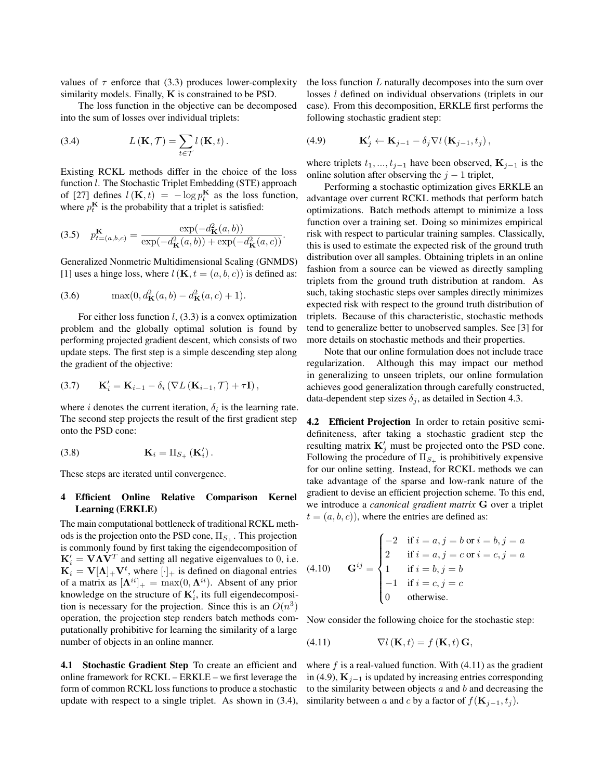values of  $\tau$  enforce that (3.3) produces lower-complexity similarity models. Finally, **K** is constrained to be PSD.

The loss function in the objective can be decomposed into the sum of losses over individual triplets:

(3.4) 
$$
L(\mathbf{K}, \mathcal{T}) = \sum_{t \in \mathcal{T}} l(\mathbf{K}, t).
$$

Existing RCKL methods differ in the choice of the loss function *l*. The Stochastic Triplet Embedding (STE) approach of [27] defines  $l(\mathbf{K}, t) = -\log p_t^{\mathbf{K}}$  as the loss function, where  $p_t^{\mathbf{K}}$  is the probability that a triplet is satisfied:

$$
(3.5) \quad p_{t=(a,b,c)}^{\mathbf{K}} = \frac{\exp(-d_{\mathbf{K}}^2(a,b))}{\exp(-d_{\mathbf{K}}^2(a,b)) + \exp(-d_{\mathbf{K}}^2(a,c))}.
$$

Generalized Nonmetric Multidimensional Scaling (GNMDS) [1] uses a hinge loss, where  $l(K, t = (a, b, c))$  is defined as:

(3.6) 
$$
\max(0, d_K^2(a, b) - d_K^2(a, c) + 1).
$$

For either loss function  $l$ , (3.3) is a convex optimization problem and the globally optimal solution is found by performing projected gradient descent, which consists of two update steps. The first step is a simple descending step along the gradient of the objective:

(3.7) 
$$
\mathbf{K}'_i = \mathbf{K}_{i-1} - \delta_i \left( \nabla L \left( \mathbf{K}_{i-1}, \mathcal{T} \right) + \tau \mathbf{I} \right),
$$

where *i* denotes the current iteration,  $\delta_i$  is the learning rate. The second step projects the result of the first gradient step onto the PSD cone:

$$
\mathbf{K}_{i} = \Pi_{S_{+}}\left(\mathbf{K}_{i}'\right).
$$

These steps are iterated until convergence.

## 4 Efficient Online Relative Comparison Kernel Learning (ERKLE)

The main computational bottleneck of traditional RCKL methods is the projection onto the PSD cone,  $\Pi_{S_+}$ . This projection is commonly found by first taking the eigendecomposition of  $\mathbf{K}'_i = \mathbf{V} \mathbf{\Lambda} \mathbf{V}^T$  and setting all negative eigenvalues to 0, i.e.  $\mathbf{K}_i = \mathbf{V}[\mathbf{\Lambda}]_+ \mathbf{V}^t$ , where  $[\cdot]_+$  is defined on diagonal entries of a matrix as  $[\mathbf{\Lambda}^{ii}]_+ = \max(0, \mathbf{\Lambda}^{ii})$ . Absent of any prior knowledge on the structure of  $\mathbf{K}'_i$ , its full eigendecomposition is necessary for the projection. Since this is an  $O(n^3)$ operation, the projection step renders batch methods computationally prohibitive for learning the similarity of a large number of objects in an online manner.

4.1 Stochastic Gradient Step To create an efficient and online framework for RCKL – ERKLE – we first leverage the form of common RCKL loss functions to produce a stochastic update with respect to a single triplet. As shown in (3.4), the loss function L naturally decomposes into the sum over losses l defined on individual observations (triplets in our case). From this decomposition, ERKLE first performs the following stochastic gradient step:

(4.9) 
$$
\mathbf{K}'_j \leftarrow \mathbf{K}_{j-1} - \delta_j \nabla l \left( \mathbf{K}_{j-1}, t_j \right),
$$

where triplets  $t_1, ..., t_{j-1}$  have been observed,  $\mathbf{K}_{j-1}$  is the online solution after observing the  $j - 1$  triplet,

Performing a stochastic optimization gives ERKLE an advantage over current RCKL methods that perform batch optimizations. Batch methods attempt to minimize a loss function over a training set. Doing so minimizes empirical risk with respect to particular training samples. Classically, this is used to estimate the expected risk of the ground truth distribution over all samples. Obtaining triplets in an online fashion from a source can be viewed as directly sampling triplets from the ground truth distribution at random. As such, taking stochastic steps over samples directly minimizes expected risk with respect to the ground truth distribution of triplets. Because of this characteristic, stochastic methods tend to generalize better to unobserved samples. See [3] for more details on stochastic methods and their properties.

Note that our online formulation does not include trace regularization. Although this may impact our method in generalizing to unseen triplets, our online formulation achieves good generalization through carefully constructed, data-dependent step sizes  $\delta_j$ , as detailed in Section 4.3.

4.2 Efficient Projection In order to retain positive semidefiniteness, after taking a stochastic gradient step the resulting matrix  $K'_{j}$  must be projected onto the PSD cone. Following the procedure of  $\Pi_{S_+}$  is prohibitively expensive for our online setting. Instead, for RCKL methods we can take advantage of the sparse and low-rank nature of the gradient to devise an efficient projection scheme. To this end, we introduce a *canonical gradient matrix* G over a triplet  $t = (a, b, c)$ , where the entries are defined as:

(4.10) 
$$
\mathbf{G}^{ij} = \begin{cases}\n-2 & \text{if } i = a, j = b \text{ or } i = b, j = a \\
2 & \text{if } i = a, j = c \text{ or } i = c, j = a \\
1 & \text{if } i = b, j = b \\
-1 & \text{if } i = c, j = c \\
0 & \text{otherwise.} \n\end{cases}
$$

Now consider the following choice for the stochastic step:

(4.11) 
$$
\nabla l(\mathbf{K},t) = f(\mathbf{K},t)\mathbf{G},
$$

where  $f$  is a real-valued function. With  $(4.11)$  as the gradient in (4.9),  $\mathbf{K}_{j-1}$  is updated by increasing entries corresponding to the similarity between objects  $a$  and  $b$  and decreasing the similarity between a and c by a factor of  $f(\mathbf{K}_{j-1}, t_j)$ .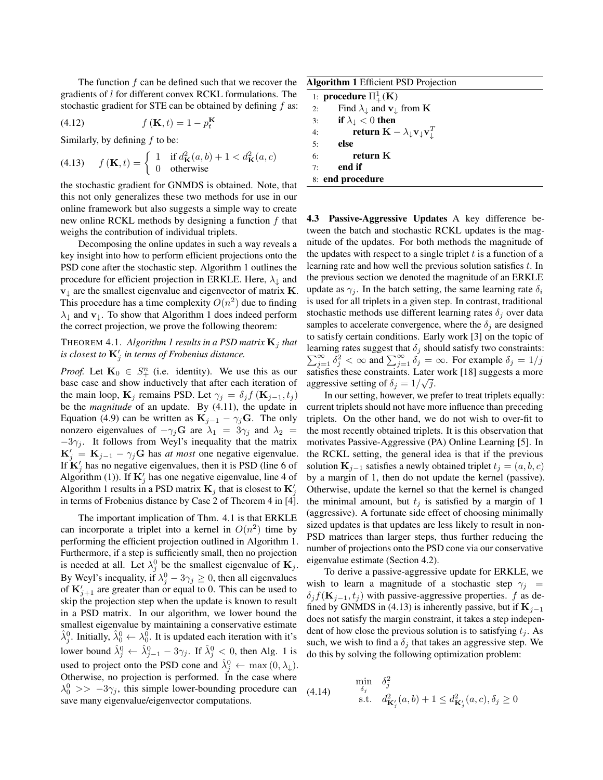The function  $f$  can be defined such that we recover the gradients of l for different convex RCKL formulations. The stochastic gradient for STE can be obtained by defining f as:

$$
(4.12) \t f(\mathbf{K},t) = 1 - p_t^{\mathbf{K}}
$$

Similarly, by defining  $f$  to be:

(4.13) 
$$
f(\mathbf{K},t) = \begin{cases} 1 & \text{if } d_{\mathbf{K}}^2(a,b) + 1 < d_{\mathbf{K}}^2(a,c) \\ 0 & \text{otherwise} \end{cases}
$$

the stochastic gradient for GNMDS is obtained. Note, that this not only generalizes these two methods for use in our online framework but also suggests a simple way to create new online RCKL methods by designing a function  $f$  that weighs the contribution of individual triplets.

Decomposing the online updates in such a way reveals a key insight into how to perform efficient projections onto the PSD cone after the stochastic step. Algorithm 1 outlines the procedure for efficient projection in ERKLE. Here,  $\lambda_{\downarrow}$  and  $v_{\perp}$  are the smallest eigenvalue and eigenvector of matrix  $K$ . This procedure has a time complexity  $O(n^2)$  due to finding  $\lambda_{\downarrow}$  and  $\mathbf{v}_{\downarrow}$ . To show that Algorithm 1 does indeed perform the correct projection, we prove the following theorem:

# THEOREM 4.1. *Algorithm 1 results in a PSD matrix*  $\mathbf{K}_i$  *that is closest to*  $\mathbf{K}'_j$  *in terms of Frobenius distance.*

*Proof.* Let  $\mathbf{K}_0 \in S^n_+$  (i.e. identity). We use this as our base case and show inductively that after each iteration of the main loop,  $\mathbf{K}_j$  remains PSD. Let  $\gamma_j = \delta_j f(\mathbf{K}_{j-1}, t_j)$ be the *magnitude* of an update. By (4.11), the update in Equation (4.9) can be written as  $\mathbf{K}_{j-1} - \gamma_j \mathbf{G}$ . The only nonzero eigenvalues of  $-\gamma_j \mathbf{G}$  are  $\lambda_1 = 3\gamma_j$  and  $\lambda_2 =$  $-3\gamma_j$ . It follows from Weyl's inequality that the matrix  $\mathbf{K}'_j = \mathbf{K}_{j-1} - \gamma_j \mathbf{G}$  has *at most* one negative eigenvalue. If  $\mathbf{K}'_j$  has no negative eigenvalues, then it is PSD (line 6 of Algorithm (1)). If  $\mathbf{K}'_j$  has one negative eigenvalue, line 4 of Algorithm 1 results in a PSD matrix  $\mathbf{K}_j$  that is closest to  $\mathbf{K}'_j$ in terms of Frobenius distance by Case 2 of Theorem 4 in [4].

The important implication of Thm. 4.1 is that ERKLE can incorporate a triplet into a kernel in  $O(n^2)$  time by performing the efficient projection outlined in Algorithm 1. Furthermore, if a step is sufficiently small, then no projection is needed at all. Let  $\lambda_j^0$  be the smallest eigenvalue of  $\mathbf{K}_j$ . By Weyl's inequality, if  $\lambda_j^0 - 3\gamma_j \ge 0$ , then all eigenvalues of  $\mathbf{K}'_{j+1}$  are greater than or equal to 0. This can be used to skip the projection step when the update is known to result in a PSD matrix. In our algorithm, we lower bound the smallest eigenvalue by maintaining a conservative estimate  $\hat{\lambda}_j^0$ . Initially,  $\hat{\lambda}_0^0 \leftarrow \lambda_0^0$ . It is updated each iteration with it's lower bound  $\hat{\lambda}_{j}^{0} \leftarrow \hat{\lambda}_{j-1}^{0} - 3\gamma_{j}$ . If  $\hat{\lambda}_{j}^{0} < 0$ , then Alg. 1 is used to project onto the PSD cone and  $\hat{\lambda}_j^0 \leftarrow \max(0, \lambda_\downarrow)$ . Otherwise, no projection is performed. In the case where  $\lambda_0^0 \gg -3\gamma_j$ , this simple lower-bounding procedure can save many eigenvalue/eigenvector computations.

| <b>Algorithm 1</b> Efficient PSD Projection |                                                                                         |
|---------------------------------------------|-----------------------------------------------------------------------------------------|
| 1: <b>procedure</b> $\Pi^1_+(\mathbf{K})$   |                                                                                         |
| 2:                                          | Find $\lambda_{\downarrow}$ and $\mathbf{v}_{\downarrow}$ from <b>K</b>                 |
| 3:                                          | if $\lambda_{\downarrow} < 0$ then                                                      |
| 4:                                          | return $\mathbf{K} - \lambda_{\downarrow} \mathbf{v}_{\downarrow} \mathbf{v}_{\perp}^T$ |
| 5:                                          | else                                                                                    |
| 6:                                          | return K                                                                                |
| 7:                                          | end if                                                                                  |
| 8: end procedure                            |                                                                                         |

4.3 Passive-Aggressive Updates A key difference between the batch and stochastic RCKL updates is the magnitude of the updates. For both methods the magnitude of the updates with respect to a single triplet  $t$  is a function of a learning rate and how well the previous solution satisfies  $t$ . In the previous section we denoted the magnitude of an ERKLE update as  $\gamma_i$ . In the batch setting, the same learning rate  $\delta_i$ is used for all triplets in a given step. In contrast, traditional stochastic methods use different learning rates  $\delta_j$  over data samples to accelerate convergence, where the  $\delta_i$  are designed to satisfy certain conditions. Early work [3] on the topic of learning rates suggest that  $\delta_j$  should satisfy two constraints:  $\sum_{j=1}^{\infty} \delta_j^2 < \infty$  and  $\sum_{j=1}^{\infty} \delta_j = \infty$ . For example  $\delta_j = 1/j$ satisfies these constraints. Later work [18] suggests a more aggressive setting of  $\delta_j = 1/\sqrt{j}$ .

In our setting, however, we prefer to treat triplets equally: current triplets should not have more influence than preceding triplets. On the other hand, we do not wish to over-fit to the most recently obtained triplets. It is this observation that motivates Passive-Aggressive (PA) Online Learning [5]. In the RCKL setting, the general idea is that if the previous solution  $\mathbf{K}_{j-1}$  satisfies a newly obtained triplet  $t_j = (a, b, c)$ by a margin of 1, then do not update the kernel (passive). Otherwise, update the kernel so that the kernel is changed the minimal amount, but  $t_i$  is satisfied by a margin of 1 (aggressive). A fortunate side effect of choosing minimally sized updates is that updates are less likely to result in non-PSD matrices than larger steps, thus further reducing the number of projections onto the PSD cone via our conservative eigenvalue estimate (Section 4.2).

To derive a passive-aggressive update for ERKLE, we wish to learn a magnitude of a stochastic step  $\gamma_i$  =  $\delta_j f(\mathbf{K}_{j-1}, t_j)$  with passive-aggressive properties. f as defined by GNMDS in (4.13) is inherently passive, but if  $\mathbf{K}_{i-1}$ does not satisfy the margin constraint, it takes a step independent of how close the previous solution is to satisfying  $t_i$ . As such, we wish to find a  $\delta_j$  that takes an aggressive step. We do this by solving the following optimization problem:

(4.14) 
$$
\begin{array}{ll}\n\min_{\delta_j} & \delta_j^2 \\
\text{s.t.} & d^2_{\mathbf{K}'_j}(a, b) + 1 \leq d^2_{\mathbf{K}'_j}(a, c), \delta_j \geq 0\n\end{array}
$$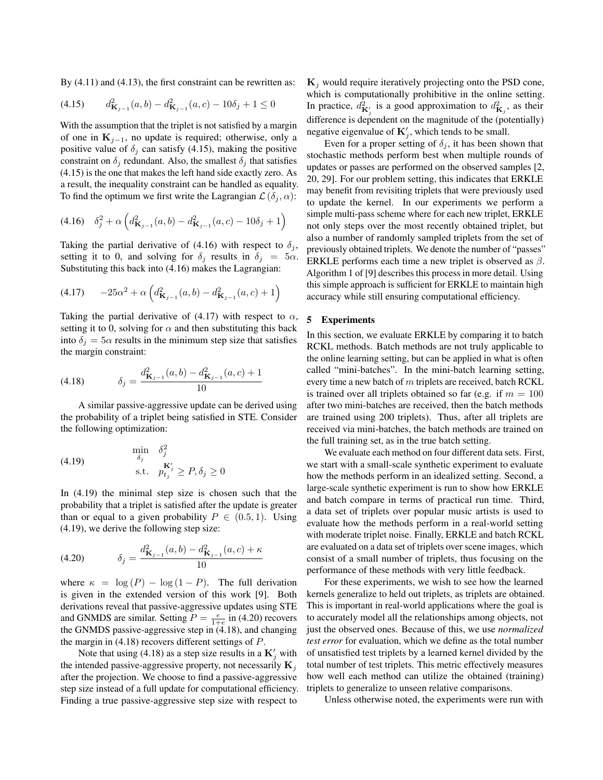By  $(4.11)$  and  $(4.13)$ , the first constraint can be rewritten as:

(4.15) 
$$
d_{\mathbf{K}_{j-1}}^2(a,b) - d_{\mathbf{K}_{j-1}}^2(a,c) - 10\delta_j + 1 \le 0
$$

With the assumption that the triplet is not satisfied by a margin of one in  $K_{i-1}$ , no update is required; otherwise, only a positive value of  $\delta_j$  can satisfy (4.15), making the positive constraint on  $\delta_j$  redundant. Also, the smallest  $\delta_j$  that satisfies (4.15) is the one that makes the left hand side exactly zero. As a result, the inequality constraint can be handled as equality. To find the optimum we first write the Lagrangian  $\mathcal{L}(\delta_i, \alpha)$ :

$$
(4.16) \quad \delta_j^2 + \alpha \left( d_{\mathbf{K}_{j-1}}^2(a, b) - d_{\mathbf{K}_{j-1}}^2(a, c) - 10\delta_j + 1 \right)
$$

Taking the partial derivative of (4.16) with respect to  $\delta_j$ , setting it to 0, and solving for  $\delta_j$  results in  $\delta_j = 5\alpha$ . Substituting this back into (4.16) makes the Lagrangian:

$$
(4.17) \qquad -25\alpha^2 + \alpha \left(d_{\mathbf{K}_{j-1}}^2(a,b) - d_{\mathbf{K}_{j-1}}^2(a,c) + 1\right)
$$

Taking the partial derivative of (4.17) with respect to  $\alpha$ , setting it to 0, solving for  $\alpha$  and then substituting this back into  $\delta_j = 5\alpha$  results in the minimum step size that satisfies the margin constraint:

(4.18) 
$$
\delta_j = \frac{d_{\mathbf{K}_{j-1}}^2(a,b) - d_{\mathbf{K}_{j-1}}^2(a,c) + 1}{10}
$$

A similar passive-aggressive update can be derived using the probability of a triplet being satisfied in STE. Consider the following optimization:

(4.19) 
$$
\begin{aligned}\n\min_{\delta_j} & \delta_j^2 \\
\text{s.t.} & p_{t_j}^{\mathbf{K}'_j} \ge P, \delta_j \ge 0\n\end{aligned}
$$

In (4.19) the minimal step size is chosen such that the probability that a triplet is satisfied after the update is greater than or equal to a given probability  $P \in (0.5, 1)$ . Using (4.19), we derive the following step size:

(4.20) 
$$
\delta_j = \frac{d_{\mathbf{K}_{j-1}}^2(a,b) - d_{\mathbf{K}_{j-1}}^2(a,c) + \kappa}{10}
$$

where  $\kappa = \log(P) - \log(1 - P)$ . The full derivation is given in the extended version of this work [9]. Both derivations reveal that passive-aggressive updates using STE and GNMDS are similar. Setting  $P = \frac{e}{1+e}$  in (4.20) recovers the GNMDS passive-aggressive step in (4.18), and changing the margin in  $(4.18)$  recovers different settings of P.

Note that using (4.18) as a step size results in a  $\mathbf{K}'_j$  with the intended passive-aggressive property, not necessarily  $\mathbf{K}_j$ after the projection. We choose to find a passive-aggressive step size instead of a full update for computational efficiency. Finding a true passive-aggressive step size with respect to

 $K_i$  would require iteratively projecting onto the PSD cone, which is computationally prohibitive in the online setting. In practice,  $d_{\mathbf{K}'_j}^2$  is a good approximation to  $d_{\mathbf{K}_j}^2$ , as their difference is dependent on the magnitude of the (potentially) negative eigenvalue of  $\mathbf{K}'_j$ , which tends to be small.

Even for a proper setting of  $\delta_i$ , it has been shown that stochastic methods perform best when multiple rounds of updates or passes are performed on the observed samples [2, 20, 29]. For our problem setting, this indicates that ERKLE may benefit from revisiting triplets that were previously used to update the kernel. In our experiments we perform a simple multi-pass scheme where for each new triplet, ERKLE not only steps over the most recently obtained triplet, but also a number of randomly sampled triplets from the set of previously obtained triplets. We denote the number of "passes" ERKLE performs each time a new triplet is observed as  $\beta$ . Algorithm 1 of [9] describes this process in more detail. Using this simple approach is sufficient for ERKLE to maintain high accuracy while still ensuring computational efficiency.

#### 5 Experiments

In this section, we evaluate ERKLE by comparing it to batch RCKL methods. Batch methods are not truly applicable to the online learning setting, but can be applied in what is often called "mini-batches". In the mini-batch learning setting, every time a new batch of m triplets are received, batch RCKL is trained over all triplets obtained so far (e.g. if  $m = 100$ ) after two mini-batches are received, then the batch methods are trained using 200 triplets). Thus, after all triplets are received via mini-batches, the batch methods are trained on the full training set, as in the true batch setting.

We evaluate each method on four different data sets. First, we start with a small-scale synthetic experiment to evaluate how the methods perform in an idealized setting. Second, a large-scale synthetic experiment is run to show how ERKLE and batch compare in terms of practical run time. Third, a data set of triplets over popular music artists is used to evaluate how the methods perform in a real-world setting with moderate triplet noise. Finally, ERKLE and batch RCKL are evaluated on a data set of triplets over scene images, which consist of a small number of triplets, thus focusing on the performance of these methods with very little feedback.

For these experiments, we wish to see how the learned kernels generalize to held out triplets, as triplets are obtained. This is important in real-world applications where the goal is to accurately model all the relationships among objects, not just the observed ones. Because of this, we use *normalized test error* for evaluation, which we define as the total number of unsatisfied test triplets by a learned kernel divided by the total number of test triplets. This metric effectively measures how well each method can utilize the obtained (training) triplets to generalize to unseen relative comparisons.

Unless otherwise noted, the experiments were run with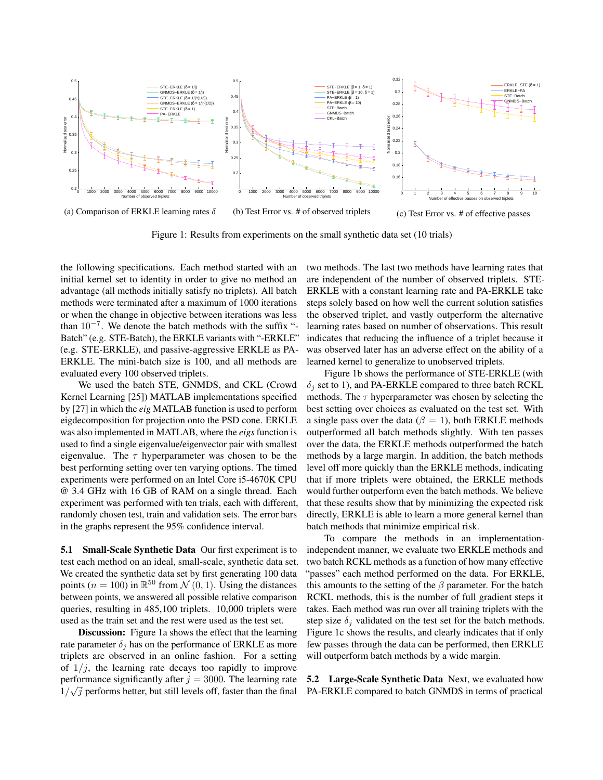

Figure 1: Results from experiments on the small synthetic data set (10 trials)

the following specifications. Each method started with an initial kernel set to identity in order to give no method an advantage (all methods initially satisfy no triplets). All batch methods were terminated after a maximum of 1000 iterations or when the change in objective between iterations was less than  $10^{-7}$ . We denote the batch methods with the suffix "-Batch" (e.g. STE-Batch), the ERKLE variants with "-ERKLE" (e.g. STE-ERKLE), and passive-aggressive ERKLE as PA-ERKLE. The mini-batch size is 100, and all methods are evaluated every 100 observed triplets.

We used the batch STE, GNMDS, and CKL (Crowd Kernel Learning [25]) MATLAB implementations specified by [27] in which the *eig* MATLAB function is used to perform eigdecomposition for projection onto the PSD cone. ERKLE was also implemented in MATLAB, where the *eigs* function is used to find a single eigenvalue/eigenvector pair with smallest eigenvalue. The  $\tau$  hyperparameter was chosen to be the best performing setting over ten varying options. The timed experiments were performed on an Intel Core i5-4670K CPU @ 3.4 GHz with 16 GB of RAM on a single thread. Each experiment was performed with ten trials, each with different, randomly chosen test, train and validation sets. The error bars in the graphs represent the 95% confidence interval.

5.1 Small-Scale Synthetic Data Our first experiment is to test each method on an ideal, small-scale, synthetic data set. We created the synthetic data set by first generating 100 data points ( $n = 100$ ) in  $\mathbb{R}^{50}$  from  $\mathcal{N}(0, 1)$ . Using the distances between points, we answered all possible relative comparison queries, resulting in 485,100 triplets. 10,000 triplets were used as the train set and the rest were used as the test set.

Discussion: Figure 1a shows the effect that the learning rate parameter  $\delta_i$  has on the performance of ERKLE as more triplets are observed in an online fashion. For a setting of  $1/i$ , the learning rate decays too rapidly to improve performance significantly after  $j = 3000$ . The learning rate  $1/\sqrt{j}$  performs better, but still levels off, faster than the final

two methods. The last two methods have learning rates that are independent of the number of observed triplets. STE-ERKLE with a constant learning rate and PA-ERKLE take steps solely based on how well the current solution satisfies the observed triplet, and vastly outperform the alternative learning rates based on number of observations. This result indicates that reducing the influence of a triplet because it was observed later has an adverse effect on the ability of a learned kernel to generalize to unobserved triplets.

Figure 1b shows the performance of STE-ERKLE (with  $\delta_i$  set to 1), and PA-ERKLE compared to three batch RCKL methods. The  $\tau$  hyperparameter was chosen by selecting the best setting over choices as evaluated on the test set. With a single pass over the data ( $\beta = 1$ ), both ERKLE methods outperformed all batch methods slightly. With ten passes over the data, the ERKLE methods outperformed the batch methods by a large margin. In addition, the batch methods level off more quickly than the ERKLE methods, indicating that if more triplets were obtained, the ERKLE methods would further outperform even the batch methods. We believe that these results show that by minimizing the expected risk directly, ERKLE is able to learn a more general kernel than batch methods that minimize empirical risk.

To compare the methods in an implementationindependent manner, we evaluate two ERKLE methods and two batch RCKL methods as a function of how many effective "passes" each method performed on the data. For ERKLE, this amounts to the setting of the  $\beta$  parameter. For the batch RCKL methods, this is the number of full gradient steps it takes. Each method was run over all training triplets with the step size  $\delta_i$  validated on the test set for the batch methods. Figure 1c shows the results, and clearly indicates that if only few passes through the data can be performed, then ERKLE will outperform batch methods by a wide margin.

5.2 Large-Scale Synthetic Data Next, we evaluated how PA-ERKLE compared to batch GNMDS in terms of practical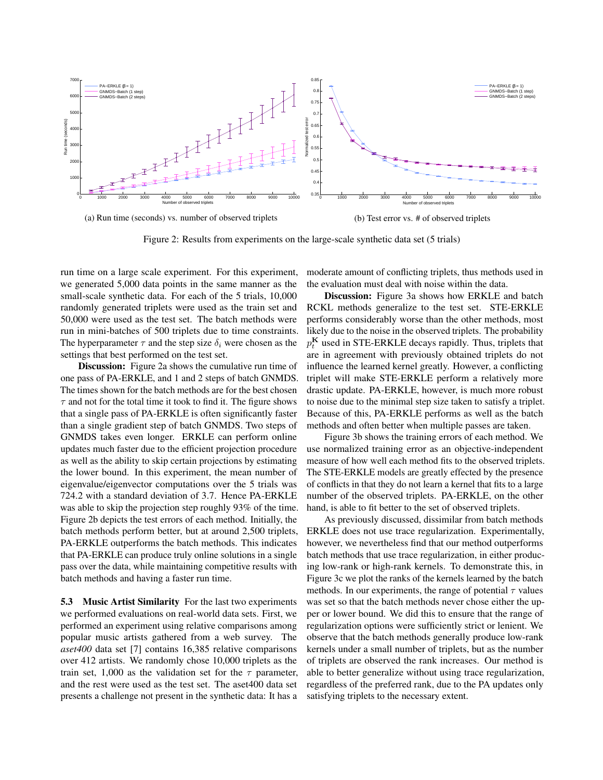

Figure 2: Results from experiments on the large-scale synthetic data set (5 trials)

run time on a large scale experiment. For this experiment, we generated 5,000 data points in the same manner as the small-scale synthetic data. For each of the 5 trials, 10,000 randomly generated triplets were used as the train set and 50,000 were used as the test set. The batch methods were run in mini-batches of 500 triplets due to time constraints. The hyperparameter  $\tau$  and the step size  $\delta_i$  were chosen as the settings that best performed on the test set.

**Discussion:** Figure 2a shows the cumulative run time of one pass of PA-ERKLE, and 1 and 2 steps of batch GNMDS. The times shown for the batch methods are for the best chosen  $\tau$  and not for the total time it took to find it. The figure shows that a single pass of PA-ERKLE is often significantly faster than a single gradient step of batch GNMDS. Two steps of GNMDS takes even longer. ERKLE can perform online updates much faster due to the efficient projection procedure as well as the ability to skip certain projections by estimating the lower bound. In this experiment, the mean number of eigenvalue/eigenvector computations over the 5 trials was 724.2 with a standard deviation of 3.7. Hence PA-ERKLE was able to skip the projection step roughly 93% of the time. Figure 2b depicts the test errors of each method. Initially, the batch methods perform better, but at around 2,500 triplets, PA-ERKLE outperforms the batch methods. This indicates that PA-ERKLE can produce truly online solutions in a single pass over the data, while maintaining competitive results with batch methods and having a faster run time.

5.3 Music Artist Similarity For the last two experiments we performed evaluations on real-world data sets. First, we performed an experiment using relative comparisons among popular music artists gathered from a web survey. The *aset400* data set [7] contains 16,385 relative comparisons over 412 artists. We randomly chose 10,000 triplets as the train set, 1,000 as the validation set for the  $\tau$  parameter, and the rest were used as the test set. The aset400 data set presents a challenge not present in the synthetic data: It has a moderate amount of conflicting triplets, thus methods used in the evaluation must deal with noise within the data.

Discussion: Figure 3a shows how ERKLE and batch RCKL methods generalize to the test set. STE-ERKLE performs considerably worse than the other methods, most likely due to the noise in the observed triplets. The probability  $p_t^{\mathbf{K}}$  used in STE-ERKLE decays rapidly. Thus, triplets that are in agreement with previously obtained triplets do not influence the learned kernel greatly. However, a conflicting triplet will make STE-ERKLE perform a relatively more drastic update. PA-ERKLE, however, is much more robust to noise due to the minimal step size taken to satisfy a triplet. Because of this, PA-ERKLE performs as well as the batch methods and often better when multiple passes are taken.

Figure 3b shows the training errors of each method. We use normalized training error as an objective-independent measure of how well each method fits to the observed triplets. The STE-ERKLE models are greatly effected by the presence of conflicts in that they do not learn a kernel that fits to a large number of the observed triplets. PA-ERKLE, on the other hand, is able to fit better to the set of observed triplets.

As previously discussed, dissimilar from batch methods ERKLE does not use trace regularization. Experimentally, however, we nevertheless find that our method outperforms batch methods that use trace regularization, in either producing low-rank or high-rank kernels. To demonstrate this, in Figure 3c we plot the ranks of the kernels learned by the batch methods. In our experiments, the range of potential  $\tau$  values was set so that the batch methods never chose either the upper or lower bound. We did this to ensure that the range of regularization options were sufficiently strict or lenient. We observe that the batch methods generally produce low-rank kernels under a small number of triplets, but as the number of triplets are observed the rank increases. Our method is able to better generalize without using trace regularization, regardless of the preferred rank, due to the PA updates only satisfying triplets to the necessary extent.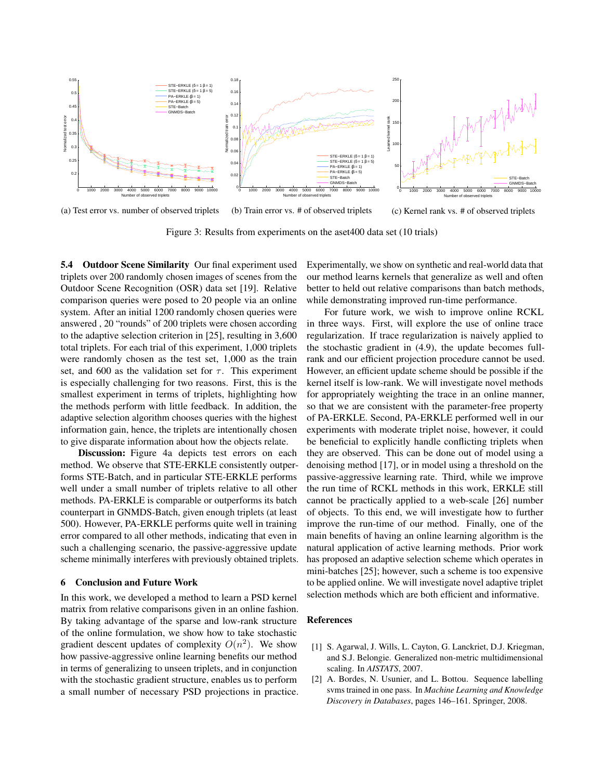

(a) Test error vs. number of observed triplets (b) Train error vs. # of observed triplets (c) Kernel rank vs. # of observed triplets

Figure 3: Results from experiments on the aset400 data set (10 trials)

5.4 Outdoor Scene Similarity Our final experiment used triplets over 200 randomly chosen images of scenes from the Outdoor Scene Recognition (OSR) data set [19]. Relative comparison queries were posed to 20 people via an online system. After an initial 1200 randomly chosen queries were answered , 20 "rounds" of 200 triplets were chosen according to the adaptive selection criterion in [25], resulting in 3,600 total triplets. For each trial of this experiment, 1,000 triplets were randomly chosen as the test set, 1,000 as the train set, and 600 as the validation set for  $\tau$ . This experiment is especially challenging for two reasons. First, this is the smallest experiment in terms of triplets, highlighting how the methods perform with little feedback. In addition, the adaptive selection algorithm chooses queries with the highest information gain, hence, the triplets are intentionally chosen to give disparate information about how the objects relate.

Discussion: Figure 4a depicts test errors on each method. We observe that STE-ERKLE consistently outperforms STE-Batch, and in particular STE-ERKLE performs well under a small number of triplets relative to all other methods. PA-ERKLE is comparable or outperforms its batch counterpart in GNMDS-Batch, given enough triplets (at least 500). However, PA-ERKLE performs quite well in training error compared to all other methods, indicating that even in such a challenging scenario, the passive-aggressive update scheme minimally interferes with previously obtained triplets.

#### 6 Conclusion and Future Work

In this work, we developed a method to learn a PSD kernel matrix from relative comparisons given in an online fashion. By taking advantage of the sparse and low-rank structure of the online formulation, we show how to take stochastic gradient descent updates of complexity  $O(n^2)$ . We show how passive-aggressive online learning benefits our method in terms of generalizing to unseen triplets, and in conjunction with the stochastic gradient structure, enables us to perform a small number of necessary PSD projections in practice.

Experimentally, we show on synthetic and real-world data that our method learns kernels that generalize as well and often better to held out relative comparisons than batch methods, while demonstrating improved run-time performance.

For future work, we wish to improve online RCKL in three ways. First, will explore the use of online trace regularization. If trace regularization is naively applied to the stochastic gradient in (4.9), the update becomes fullrank and our efficient projection procedure cannot be used. However, an efficient update scheme should be possible if the kernel itself is low-rank. We will investigate novel methods for appropriately weighting the trace in an online manner, so that we are consistent with the parameter-free property of PA-ERKLE. Second, PA-ERKLE performed well in our experiments with moderate triplet noise, however, it could be beneficial to explicitly handle conflicting triplets when they are observed. This can be done out of model using a denoising method [17], or in model using a threshold on the passive-aggressive learning rate. Third, while we improve the run time of RCKL methods in this work, ERKLE still cannot be practically applied to a web-scale [26] number of objects. To this end, we will investigate how to further improve the run-time of our method. Finally, one of the main benefits of having an online learning algorithm is the natural application of active learning methods. Prior work has proposed an adaptive selection scheme which operates in mini-batches [25]; however, such a scheme is too expensive to be applied online. We will investigate novel adaptive triplet selection methods which are both efficient and informative.

#### References

- [1] S. Agarwal, J. Wills, L. Cayton, G. Lanckriet, D.J. Kriegman, and S.J. Belongie. Generalized non-metric multidimensional scaling. In *AISTATS*, 2007.
- [2] A. Bordes, N. Usunier, and L. Bottou. Sequence labelling svms trained in one pass. In *Machine Learning and Knowledge Discovery in Databases*, pages 146–161. Springer, 2008.